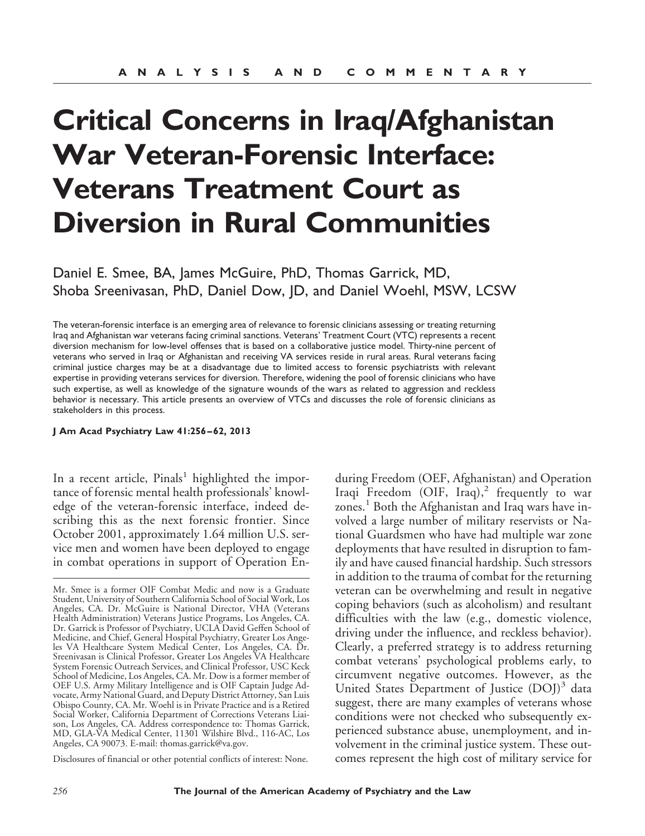# **Critical Concerns in Iraq/Afghanistan War Veteran-Forensic Interface: Veterans Treatment Court as Diversion in Rural Communities**

Daniel E. Smee, BA, James McGuire, PhD, Thomas Garrick, MD, Shoba Sreenivasan, PhD, Daniel Dow, JD, and Daniel Woehl, MSW, LCSW

The veteran-forensic interface is an emerging area of relevance to forensic clinicians assessing or treating returning Iraq and Afghanistan war veterans facing criminal sanctions. Veterans' Treatment Court (VTC) represents a recent diversion mechanism for low-level offenses that is based on a collaborative justice model. Thirty-nine percent of veterans who served in Iraq or Afghanistan and receiving VA services reside in rural areas. Rural veterans facing criminal justice charges may be at a disadvantage due to limited access to forensic psychiatrists with relevant expertise in providing veterans services for diversion. Therefore, widening the pool of forensic clinicians who have such expertise, as well as knowledge of the signature wounds of the wars as related to aggression and reckless behavior is necessary. This article presents an overview of VTCs and discusses the role of forensic clinicians as stakeholders in this process.

**J Am Acad Psychiatry Law 41:256 – 62, 2013**

In a recent article,  $Pinals<sup>1</sup>$  highlighted the importance of forensic mental health professionals' knowledge of the veteran-forensic interface, indeed describing this as the next forensic frontier. Since October 2001, approximately 1.64 million U.S. service men and women have been deployed to engage in combat operations in support of Operation En-

Disclosures of financial or other potential conflicts of interest: None.

during Freedom (OEF, Afghanistan) and Operation Iraqi Freedom (OIF, Iraq),<sup>2</sup> frequently to war zones.<sup>1</sup> Both the Afghanistan and Iraq wars have involved a large number of military reservists or National Guardsmen who have had multiple war zone deployments that have resulted in disruption to family and have caused financial hardship. Such stressors in addition to the trauma of combat for the returning veteran can be overwhelming and result in negative coping behaviors (such as alcoholism) and resultant difficulties with the law (e.g., domestic violence, driving under the influence, and reckless behavior). Clearly, a preferred strategy is to address returning combat veterans' psychological problems early, to circumvent negative outcomes. However, as the United States Department of Justice  $(DOJ)^3$  data suggest, there are many examples of veterans whose conditions were not checked who subsequently experienced substance abuse, unemployment, and involvement in the criminal justice system. These outcomes represent the high cost of military service for

Mr. Smee is a former OIF Combat Medic and now is a Graduate Student, University of Southern California School of Social Work, Los Angeles, CA. Dr. McGuire is National Director, VHA (Veterans Health Administration) Veterans Justice Programs, Los Angeles, CA. Dr. Garrick is Professor of Psychiatry, UCLA David Geffen School of Medicine, and Chief, General Hospital Psychiatry, Greater Los Angeles VA Healthcare System Medical Center, Los Angeles, CA. Dr. Sreenivasan is Clinical Professor, Greater Los Angeles VA Healthcare System Forensic Outreach Services, and Clinical Professor, USC Keck School of Medicine, Los Angeles, CA. Mr. Dow is a former member of OEF U.S. Army Military Intelligence and is OIF Captain Judge Advocate, Army National Guard, and Deputy District Attorney, San Luis Obispo County, CA. Mr. Woehl is in Private Practice and is a Retired Social Worker, California Department of Corrections Veterans Liaison, Los Angeles, CA. Address correspondence to: Thomas Garrick, MD, GLA-VA Medical Center, 11301 Wilshire Blvd., 116-AC, Los Angeles, CA 90073. E-mail: thomas.garrick@va.gov.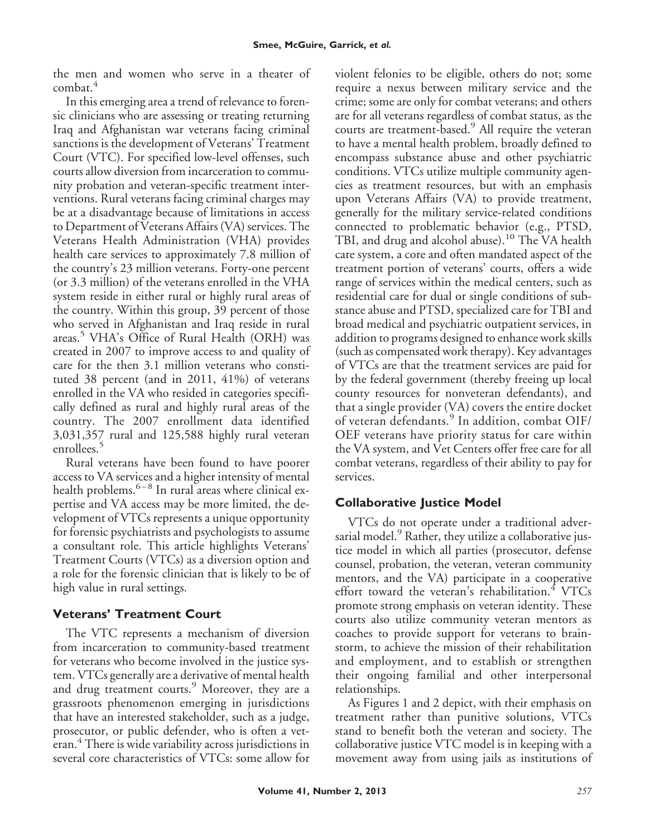the men and women who serve in a theater of combat.<sup>4</sup>

In this emerging area a trend of relevance to forensic clinicians who are assessing or treating returning Iraq and Afghanistan war veterans facing criminal sanctions is the development of Veterans' Treatment Court (VTC). For specified low-level offenses, such courts allow diversion from incarceration to community probation and veteran-specific treatment interventions. Rural veterans facing criminal charges may be at a disadvantage because of limitations in access to Department of Veterans Affairs (VA) services. The Veterans Health Administration (VHA) provides health care services to approximately 7.8 million of the country's 23 million veterans. Forty-one percent (or 3.3 million) of the veterans enrolled in the VHA system reside in either rural or highly rural areas of the country. Within this group, 39 percent of those who served in Afghanistan and Iraq reside in rural areas.<sup>5</sup> VHA's Office of Rural Health (ORH) was created in 2007 to improve access to and quality of care for the then 3.1 million veterans who constituted 38 percent (and in 2011, 41%) of veterans enrolled in the VA who resided in categories specifically defined as rural and highly rural areas of the country. The 2007 enrollment data identified 3,031,357 rural and 125,588 highly rural veteran enrollees.<sup>5</sup>

Rural veterans have been found to have poorer access to VA services and a higher intensity of mental health problems. $6-8$  In rural areas where clinical expertise and VA access may be more limited, the development of VTCs represents a unique opportunity for forensic psychiatrists and psychologists to assume a consultant role. This article highlights Veterans' Treatment Courts (VTCs) as a diversion option and a role for the forensic clinician that is likely to be of high value in rural settings.

# **Veterans' Treatment Court**

The VTC represents a mechanism of diversion from incarceration to community-based treatment for veterans who become involved in the justice system. VTCs generally are a derivative of mental health and drug treatment courts.<sup>9</sup> Moreover, they are a grassroots phenomenon emerging in jurisdictions that have an interested stakeholder, such as a judge, prosecutor, or public defender, who is often a veteran.<sup>4</sup> There is wide variability across jurisdictions in several core characteristics of VTCs: some allow for

violent felonies to be eligible, others do not; some require a nexus between military service and the crime; some are only for combat veterans; and others are for all veterans regardless of combat status, as the courts are treatment-based.<sup>9</sup> All require the veteran to have a mental health problem, broadly defined to encompass substance abuse and other psychiatric conditions. VTCs utilize multiple community agencies as treatment resources, but with an emphasis upon Veterans Affairs (VA) to provide treatment, generally for the military service-related conditions connected to problematic behavior (e.g., PTSD, TBI, and drug and alcohol abuse).<sup>10</sup> The VA health care system, a core and often mandated aspect of the treatment portion of veterans' courts, offers a wide range of services within the medical centers, such as residential care for dual or single conditions of substance abuse and PTSD, specialized care for TBI and broad medical and psychiatric outpatient services, in addition to programs designed to enhance work skills (such as compensated work therapy). Key advantages of VTCs are that the treatment services are paid for by the federal government (thereby freeing up local county resources for nonveteran defendants), and that a single provider (VA) covers the entire docket of veteran defendants.<sup>9</sup> In addition, combat OIF/ OEF veterans have priority status for care within the VA system, and Vet Centers offer free care for all combat veterans, regardless of their ability to pay for services.

# **Collaborative Justice Model**

VTCs do not operate under a traditional adversarial model. $9$  Rather, they utilize a collaborative justice model in which all parties (prosecutor, defense counsel, probation, the veteran, veteran community mentors, and the VA) participate in a cooperative effort toward the veteran's rehabilitation. $4$  VTCs promote strong emphasis on veteran identity. These courts also utilize community veteran mentors as coaches to provide support for veterans to brainstorm, to achieve the mission of their rehabilitation and employment, and to establish or strengthen their ongoing familial and other interpersonal relationships.

As Figures 1 and 2 depict, with their emphasis on treatment rather than punitive solutions, VTCs stand to benefit both the veteran and society. The collaborative justice VTC model is in keeping with a movement away from using jails as institutions of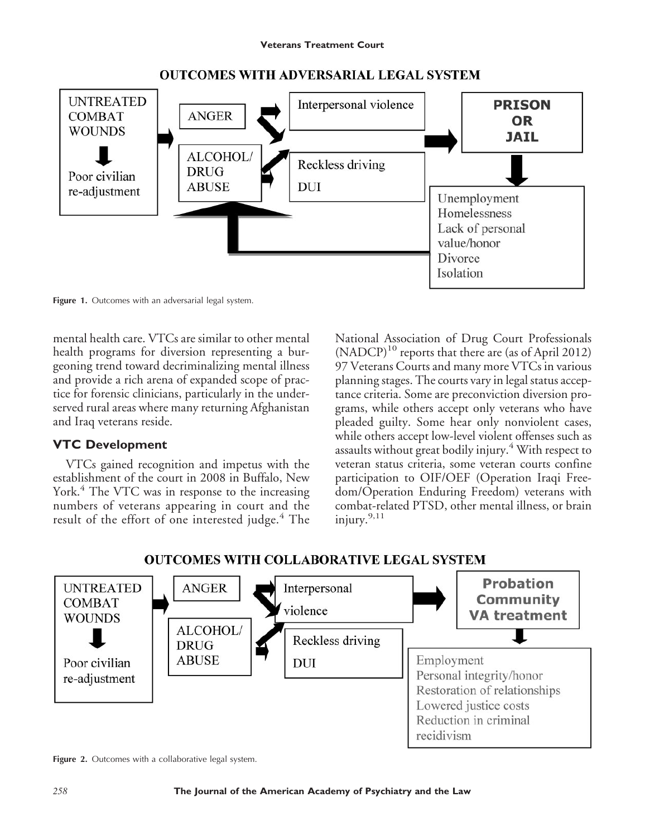

#### **OUTCOMES WITH ADVERSARIAL LEGAL SYSTEM**

Figure 1. Outcomes with an adversarial legal system.

mental health care. VTCs are similar to other mental health programs for diversion representing a burgeoning trend toward decriminalizing mental illness and provide a rich arena of expanded scope of practice for forensic clinicians, particularly in the underserved rural areas where many returning Afghanistan and Iraq veterans reside.

#### **VTC Development**

VTCs gained recognition and impetus with the establishment of the court in 2008 in Buffalo, New York.<sup>4</sup> The VTC was in response to the increasing numbers of veterans appearing in court and the result of the effort of one interested judge.<sup>4</sup> The

National Association of Drug Court Professionals  $(NADCP)^{10}$  reports that there are (as of April 2012) 97 Veterans Courts and many more VTCs in various planning stages. The courts vary in legal status acceptance criteria. Some are preconviction diversion programs, while others accept only veterans who have pleaded guilty. Some hear only nonviolent cases, while others accept low-level violent offenses such as assaults without great bodily injury.<sup>4</sup> With respect to veteran status criteria, some veteran courts confine participation to OIF/OEF (Operation Iraqi Freedom/Operation Enduring Freedom) veterans with combat-related PTSD, other mental illness, or brain injury.9,11

# **OUTCOMES WITH COLLABORATIVE LEGAL SYSTEM**



Figure 2. Outcomes with a collaborative legal system.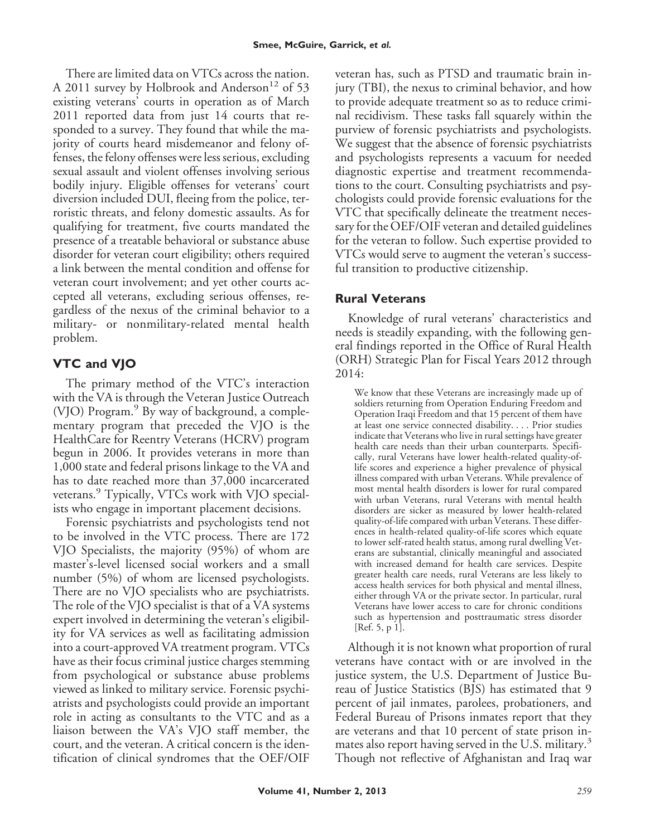There are limited data on VTCs across the nation. A 2011 survey by Holbrook and Anderson<sup>12</sup> of 53 existing veterans' courts in operation as of March 2011 reported data from just 14 courts that responded to a survey. They found that while the majority of courts heard misdemeanor and felony offenses, the felony offenses were less serious, excluding sexual assault and violent offenses involving serious bodily injury. Eligible offenses for veterans' court diversion included DUI, fleeing from the police, terroristic threats, and felony domestic assaults. As for qualifying for treatment, five courts mandated the presence of a treatable behavioral or substance abuse disorder for veteran court eligibility; others required a link between the mental condition and offense for veteran court involvement; and yet other courts accepted all veterans, excluding serious offenses, regardless of the nexus of the criminal behavior to a military- or nonmilitary-related mental health problem.

# **VTC and VJO**

The primary method of the VTC's interaction with the VA is through the Veteran Justice Outreach (VJO) Program.<sup>9</sup> By way of background, a complementary program that preceded the VJO is the HealthCare for Reentry Veterans (HCRV) program begun in 2006. It provides veterans in more than 1,000 state and federal prisons linkage to the VA and has to date reached more than 37,000 incarcerated veterans.<sup>9</sup> Typically, VTCs work with VJO specialists who engage in important placement decisions.

Forensic psychiatrists and psychologists tend not to be involved in the VTC process. There are 172 VJO Specialists, the majority (95%) of whom are master's-level licensed social workers and a small number (5%) of whom are licensed psychologists. There are no VJO specialists who are psychiatrists. The role of the VJO specialist is that of a VA systems expert involved in determining the veteran's eligibility for VA services as well as facilitating admission into a court-approved VA treatment program. VTCs have as their focus criminal justice charges stemming from psychological or substance abuse problems viewed as linked to military service. Forensic psychiatrists and psychologists could provide an important role in acting as consultants to the VTC and as a liaison between the VA's VJO staff member, the court, and the veteran. A critical concern is the identification of clinical syndromes that the OEF/OIF

veteran has, such as PTSD and traumatic brain injury (TBI), the nexus to criminal behavior, and how to provide adequate treatment so as to reduce criminal recidivism. These tasks fall squarely within the purview of forensic psychiatrists and psychologists. We suggest that the absence of forensic psychiatrists and psychologists represents a vacuum for needed diagnostic expertise and treatment recommendations to the court. Consulting psychiatrists and psychologists could provide forensic evaluations for the VTC that specifically delineate the treatment necessary for the OEF/OIF veteran and detailed guidelines for the veteran to follow. Such expertise provided to VTCs would serve to augment the veteran's successful transition to productive citizenship.

### **Rural Veterans**

Knowledge of rural veterans' characteristics and needs is steadily expanding, with the following general findings reported in the Office of Rural Health (ORH) Strategic Plan for Fiscal Years 2012 through 2014:

We know that these Veterans are increasingly made up of soldiers returning from Operation Enduring Freedom and Operation Iraqi Freedom and that 15 percent of them have at least one service connected disability.... Prior studies indicate that Veterans who live in rural settings have greater health care needs than their urban counterparts. Specifically, rural Veterans have lower health-related quality-oflife scores and experience a higher prevalence of physical illness compared with urban Veterans. While prevalence of most mental health disorders is lower for rural compared with urban Veterans, rural Veterans with mental health disorders are sicker as measured by lower health-related quality-of-life compared with urban Veterans. These differences in health-related quality-of-life scores which equate to lower self-rated health status, among rural dwelling Veterans are substantial, clinically meaningful and associated with increased demand for health care services. Despite greater health care needs, rural Veterans are less likely to access health services for both physical and mental illness, either through VA or the private sector. In particular, rural Veterans have lower access to care for chronic conditions such as hypertension and posttraumatic stress disorder [Ref. 5, p 1].

Although it is not known what proportion of rural veterans have contact with or are involved in the justice system, the U.S. Department of Justice Bureau of Justice Statistics (BJS) has estimated that 9 percent of jail inmates, parolees, probationers, and Federal Bureau of Prisons inmates report that they are veterans and that 10 percent of state prison inmates also report having served in the U.S. military.<sup>3</sup> Though not reflective of Afghanistan and Iraq war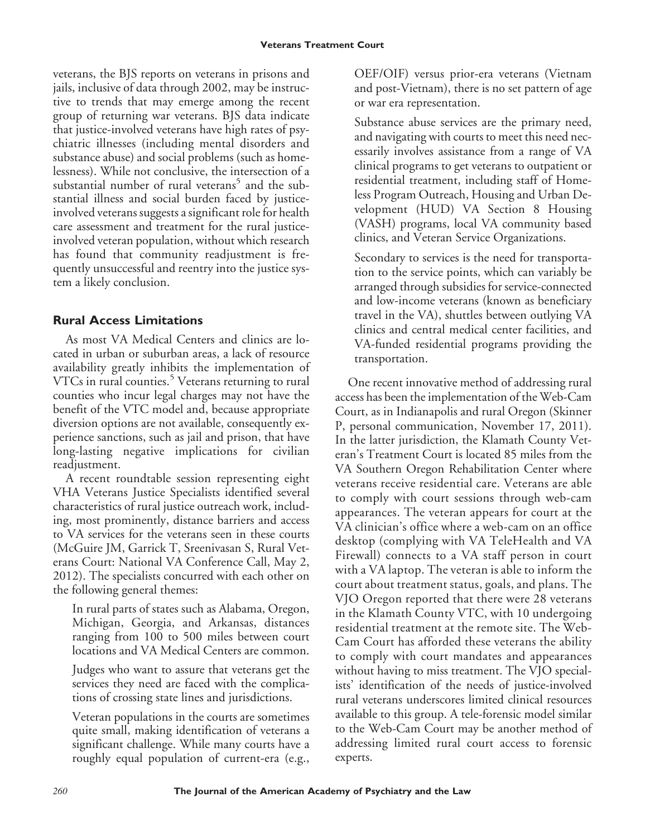veterans, the BJS reports on veterans in prisons and jails, inclusive of data through 2002, may be instructive to trends that may emerge among the recent group of returning war veterans. BJS data indicate that justice-involved veterans have high rates of psychiatric illnesses (including mental disorders and substance abuse) and social problems (such as homelessness). While not conclusive, the intersection of a substantial number of rural veterans<sup>5</sup> and the substantial illness and social burden faced by justiceinvolved veterans suggests a significant role for health care assessment and treatment for the rural justiceinvolved veteran population, without which research has found that community readjustment is frequently unsuccessful and reentry into the justice system a likely conclusion.

### **Rural Access Limitations**

As most VA Medical Centers and clinics are located in urban or suburban areas, a lack of resource availability greatly inhibits the implementation of VTCs in rural counties.<sup>5</sup> Veterans returning to rural counties who incur legal charges may not have the benefit of the VTC model and, because appropriate diversion options are not available, consequently experience sanctions, such as jail and prison, that have long-lasting negative implications for civilian readjustment.

A recent roundtable session representing eight VHA Veterans Justice Specialists identified several characteristics of rural justice outreach work, including, most prominently, distance barriers and access to VA services for the veterans seen in these courts (McGuire JM, Garrick T, Sreenivasan S, Rural Veterans Court: National VA Conference Call, May 2, 2012). The specialists concurred with each other on the following general themes:

In rural parts of states such as Alabama, Oregon, Michigan, Georgia, and Arkansas, distances ranging from 100 to 500 miles between court locations and VA Medical Centers are common.

Judges who want to assure that veterans get the services they need are faced with the complications of crossing state lines and jurisdictions.

Veteran populations in the courts are sometimes quite small, making identification of veterans a significant challenge. While many courts have a roughly equal population of current-era (e.g.,

OEF/OIF) versus prior-era veterans (Vietnam and post-Vietnam), there is no set pattern of age or war era representation.

Substance abuse services are the primary need, and navigating with courts to meet this need necessarily involves assistance from a range of VA clinical programs to get veterans to outpatient or residential treatment, including staff of Homeless Program Outreach, Housing and Urban Development (HUD) VA Section 8 Housing (VASH) programs, local VA community based clinics, and Veteran Service Organizations.

Secondary to services is the need for transportation to the service points, which can variably be arranged through subsidies for service-connected and low-income veterans (known as beneficiary travel in the VA), shuttles between outlying VA clinics and central medical center facilities, and VA-funded residential programs providing the transportation.

One recent innovative method of addressing rural access has been the implementation of the Web-Cam Court, as in Indianapolis and rural Oregon (Skinner P, personal communication, November 17, 2011). In the latter jurisdiction, the Klamath County Veteran's Treatment Court is located 85 miles from the VA Southern Oregon Rehabilitation Center where veterans receive residential care. Veterans are able to comply with court sessions through web-cam appearances. The veteran appears for court at the VA clinician's office where a web-cam on an office desktop (complying with VA TeleHealth and VA Firewall) connects to a VA staff person in court with a VA laptop. The veteran is able to inform the court about treatment status, goals, and plans. The VJO Oregon reported that there were 28 veterans in the Klamath County VTC, with 10 undergoing residential treatment at the remote site. The Web-Cam Court has afforded these veterans the ability to comply with court mandates and appearances without having to miss treatment. The VJO specialists' identification of the needs of justice-involved rural veterans underscores limited clinical resources available to this group. A tele-forensic model similar to the Web-Cam Court may be another method of addressing limited rural court access to forensic experts.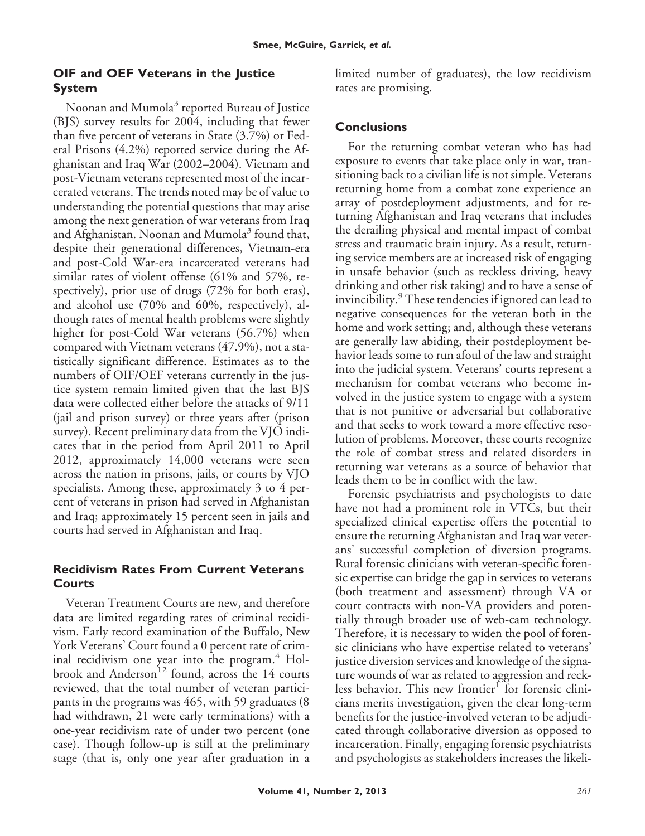### **OIF and OEF Veterans in the Justice System**

Noonan and Mumola<sup>3</sup> reported Bureau of Justice (BJS) survey results for 2004, including that fewer than five percent of veterans in State (3.7%) or Federal Prisons (4.2%) reported service during the Afghanistan and Iraq War (2002–2004). Vietnam and post-Vietnam veterans represented most of the incarcerated veterans. The trends noted may be of value to understanding the potential questions that may arise among the next generation of war veterans from Iraq and Afghanistan. Noonan and Mumola<sup>3</sup> found that, despite their generational differences, Vietnam-era and post-Cold War-era incarcerated veterans had similar rates of violent offense (61% and 57%, respectively), prior use of drugs (72% for both eras), and alcohol use (70% and 60%, respectively), although rates of mental health problems were slightly higher for post-Cold War veterans (56.7%) when compared with Vietnam veterans (47.9%), not a statistically significant difference. Estimates as to the numbers of OIF/OEF veterans currently in the justice system remain limited given that the last BJS data were collected either before the attacks of 9/11 (jail and prison survey) or three years after (prison survey). Recent preliminary data from the VJO indicates that in the period from April 2011 to April 2012, approximately 14,000 veterans were seen across the nation in prisons, jails, or courts by VJO specialists. Among these, approximately 3 to 4 percent of veterans in prison had served in Afghanistan and Iraq; approximately 15 percent seen in jails and courts had served in Afghanistan and Iraq.

#### **Recidivism Rates From Current Veterans Courts**

Veteran Treatment Courts are new, and therefore data are limited regarding rates of criminal recidivism. Early record examination of the Buffalo, New York Veterans' Court found a 0 percent rate of criminal recidivism one year into the program.<sup>4</sup> Holbrook and Anderson<sup>12</sup> found, across the 14 courts reviewed, that the total number of veteran participants in the programs was 465, with 59 graduates (8 had withdrawn, 21 were early terminations) with a one-year recidivism rate of under two percent (one case). Though follow-up is still at the preliminary stage (that is, only one year after graduation in a limited number of graduates), the low recidivism rates are promising.

### **Conclusions**

For the returning combat veteran who has had exposure to events that take place only in war, transitioning back to a civilian life is not simple. Veterans returning home from a combat zone experience an array of postdeployment adjustments, and for returning Afghanistan and Iraq veterans that includes the derailing physical and mental impact of combat stress and traumatic brain injury. As a result, returning service members are at increased risk of engaging in unsafe behavior (such as reckless driving, heavy drinking and other risk taking) and to have a sense of invincibility.<sup>9</sup> These tendencies if ignored can lead to negative consequences for the veteran both in the home and work setting; and, although these veterans are generally law abiding, their postdeployment behavior leads some to run afoul of the law and straight into the judicial system. Veterans' courts represent a mechanism for combat veterans who become involved in the justice system to engage with a system that is not punitive or adversarial but collaborative and that seeks to work toward a more effective resolution of problems. Moreover, these courts recognize the role of combat stress and related disorders in returning war veterans as a source of behavior that leads them to be in conflict with the law.

Forensic psychiatrists and psychologists to date have not had a prominent role in VTCs, but their specialized clinical expertise offers the potential to ensure the returning Afghanistan and Iraq war veterans' successful completion of diversion programs. Rural forensic clinicians with veteran-specific forensic expertise can bridge the gap in services to veterans (both treatment and assessment) through VA or court contracts with non-VA providers and potentially through broader use of web-cam technology. Therefore, it is necessary to widen the pool of forensic clinicians who have expertise related to veterans' justice diversion services and knowledge of the signature wounds of war as related to aggression and reckless behavior. This new frontier<sup>1</sup> for forensic clinicians merits investigation, given the clear long-term benefits for the justice-involved veteran to be adjudicated through collaborative diversion as opposed to incarceration. Finally, engaging forensic psychiatrists and psychologists as stakeholders increases the likeli